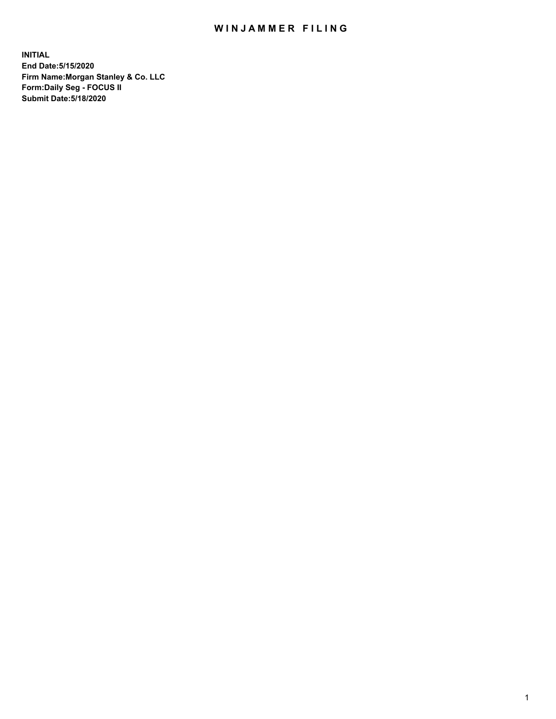## WIN JAMMER FILING

**INITIAL End Date:5/15/2020 Firm Name:Morgan Stanley & Co. LLC Form:Daily Seg - FOCUS II Submit Date:5/18/2020**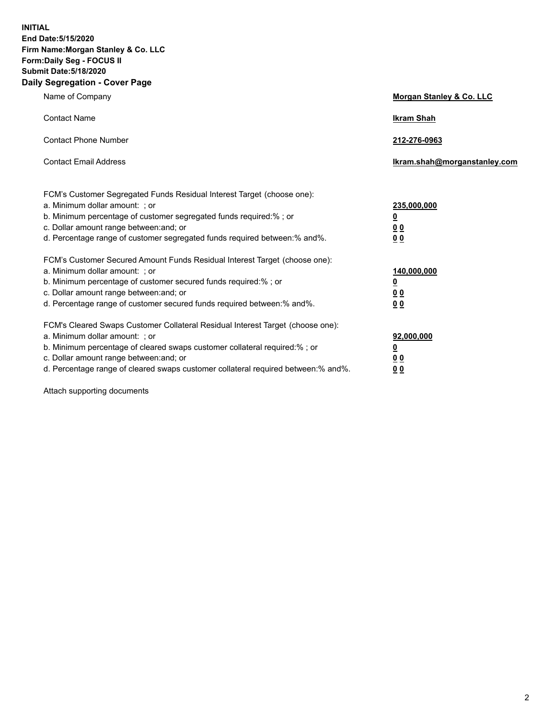**INITIAL End Date:5/15/2020 Firm Name:Morgan Stanley & Co. LLC Form:Daily Seg - FOCUS II Submit Date:5/18/2020 Daily Segregation - Cover Page**

| Name of Company                                                                                          | Morgan Stanley & Co. LLC     |
|----------------------------------------------------------------------------------------------------------|------------------------------|
| <b>Contact Name</b>                                                                                      | <b>Ikram Shah</b>            |
| <b>Contact Phone Number</b>                                                                              | 212-276-0963                 |
| <b>Contact Email Address</b>                                                                             | Ikram.shah@morganstanley.com |
|                                                                                                          |                              |
| FCM's Customer Segregated Funds Residual Interest Target (choose one):<br>a. Minimum dollar amount: ; or | 235,000,000                  |
| b. Minimum percentage of customer segregated funds required:% ; or                                       | <u>0</u>                     |
| c. Dollar amount range between: and; or                                                                  | <u>00</u>                    |
| d. Percentage range of customer segregated funds required between: % and %.                              | 0 <sup>0</sup>               |
| FCM's Customer Secured Amount Funds Residual Interest Target (choose one):                               |                              |
| a. Minimum dollar amount: ; or                                                                           | 140,000,000                  |
| b. Minimum percentage of customer secured funds required:%; or                                           | <u>0</u>                     |
| c. Dollar amount range between: and; or                                                                  | <u>0 0</u>                   |
| d. Percentage range of customer secured funds required between:% and%.                                   | 0 Q                          |
| FCM's Cleared Swaps Customer Collateral Residual Interest Target (choose one):                           |                              |
| a. Minimum dollar amount: ; or                                                                           | 92,000,000                   |
| b. Minimum percentage of cleared swaps customer collateral required:% ; or                               | <u>0</u>                     |
| c. Dollar amount range between: and; or                                                                  | 0 Q                          |
| d. Percentage range of cleared swaps customer collateral required between:% and%.                        | 0 <sub>0</sub>               |

Attach supporting documents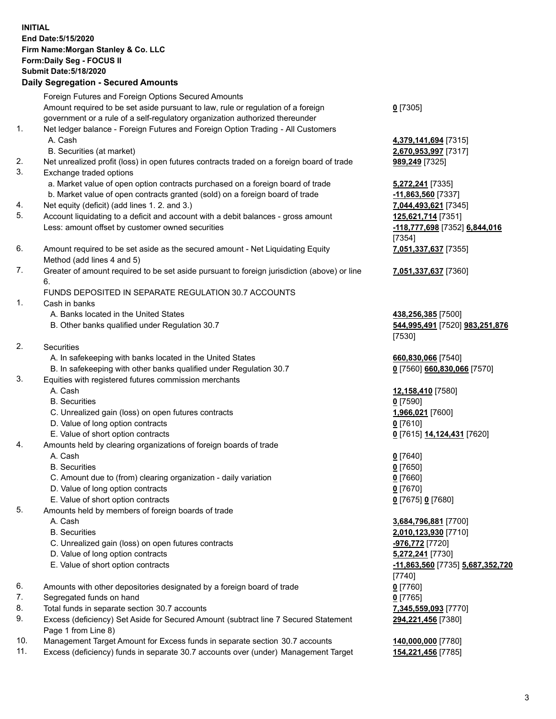## **INITIAL End Date:5/15/2020 Firm Name:Morgan Stanley & Co. LLC Form:Daily Seg - FOCUS II Submit Date:5/18/2020 Daily Segregation - Secured Amounts** Foreign Futures and Foreign Options Secured Amounts Amount required to be set aside pursuant to law, rule or regulation of a foreign government or a rule of a self-regulatory organization authorized thereunder **0** [7305] 1. Net ledger balance - Foreign Futures and Foreign Option Trading - All Customers A. Cash **4,379,141,694** [7315] B. Securities (at market) **2,670,953,997** [7317] 2. Net unrealized profit (loss) in open futures contracts traded on a foreign board of trade **989,249** [7325] 3. Exchange traded options a. Market value of open option contracts purchased on a foreign board of trade **5,272,241** [7335] b. Market value of open contracts granted (sold) on a foreign board of trade **-11,863,560** [7337] 4. Net equity (deficit) (add lines 1. 2. and 3.) **7,044,493,621** [7345] 5. Account liquidating to a deficit and account with a debit balances - gross amount **125,621,714** [7351] Less: amount offset by customer owned securities **-118,777,698** [7352] **6,844,016** 6. Amount required to be set aside as the secured amount - Net Liquidating Equity Method (add lines 4 and 5) 7. Greater of amount required to be set aside pursuant to foreign jurisdiction (above) or line 6. FUNDS DEPOSITED IN SEPARATE REGULATION 30.7 ACCOUNTS 1. Cash in banks A. Banks located in the United States **438,256,385** [7500] B. Other banks qualified under Regulation 30.7 **544,995,491** [7520] **983,251,876** 2. Securities A. In safekeeping with banks located in the United States **660,830,066** [7540] B. In safekeeping with other banks qualified under Regulation 30.7 **0** [7560] **660,830,066** [7570] 3. Equities with registered futures commission merchants A. Cash **12,158,410** [7580] B. Securities **0** [7590] C. Unrealized gain (loss) on open futures contracts **1,966,021** [7600] D. Value of long option contracts **0** [7610] E. Value of short option contracts **0** [7615] **14,124,431** [7620] 4. Amounts held by clearing organizations of foreign boards of trade A. Cash **0** [7640] B. Securities **0** [7650] C. Amount due to (from) clearing organization - daily variation **0** [7660] D. Value of long option contracts **0** [7670] E. Value of short option contracts **0** [7675] **0** [7680] 5. Amounts held by members of foreign boards of trade A. Cash **3,684,796,881** [7700] B. Securities **2,010,123,930** [7710] C. Unrealized gain (loss) on open futures contracts **-976,772** [7720] D. Value of long option contracts **5,272,241** [7730] E. Value of short option contracts **-11,863,560** [7735] **5,687,352,720** 6. Amounts with other depositories designated by a foreign board of trade **0** [7760] 7. Segregated funds on hand **0** [7765]

- 8. Total funds in separate section 30.7 accounts **7,345,559,093** [7770]
- 9. Excess (deficiency) Set Aside for Secured Amount (subtract line 7 Secured Statement Page 1 from Line 8)
- 10. Management Target Amount for Excess funds in separate section 30.7 accounts **140,000,000** [7780]
- 11. Excess (deficiency) funds in separate 30.7 accounts over (under) Management Target **154,221,456** [7785]

[7354] **7,051,337,637** [7355] **7,051,337,637** [7360]

[7530]

[7740] **294,221,456** [7380]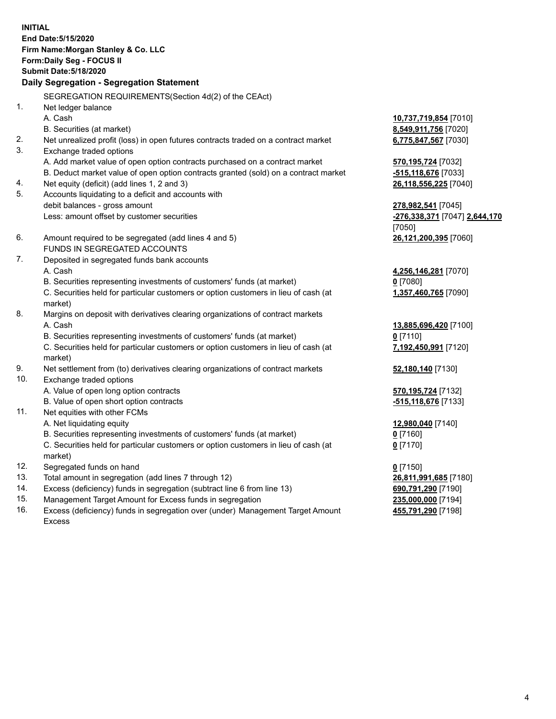**INITIAL End Date:5/15/2020 Firm Name:Morgan Stanley & Co. LLC Form:Daily Seg - FOCUS II Submit Date:5/18/2020 Daily Segregation - Segregation Statement** SEGREGATION REQUIREMENTS(Section 4d(2) of the CEAct) 1. Net ledger balance A. Cash **10,737,719,854** [7010] B. Securities (at market) **8,549,911,756** [7020] 2. Net unrealized profit (loss) in open futures contracts traded on a contract market **6,775,847,567** [7030] 3. Exchange traded options A. Add market value of open option contracts purchased on a contract market **570,195,724** [7032] B. Deduct market value of open option contracts granted (sold) on a contract market **-515,118,676** [7033] 4. Net equity (deficit) (add lines 1, 2 and 3) **26,118,556,225** [7040] 5. Accounts liquidating to a deficit and accounts with debit balances - gross amount **278,982,541** [7045] Less: amount offset by customer securities **-276,338,371** [7047] **2,644,170** [7050] 6. Amount required to be segregated (add lines 4 and 5) **26,121,200,395** [7060] FUNDS IN SEGREGATED ACCOUNTS 7. Deposited in segregated funds bank accounts A. Cash **4,256,146,281** [7070] B. Securities representing investments of customers' funds (at market) **0** [7080] C. Securities held for particular customers or option customers in lieu of cash (at market) **1,357,460,765** [7090] 8. Margins on deposit with derivatives clearing organizations of contract markets A. Cash **13,885,696,420** [7100] B. Securities representing investments of customers' funds (at market) **0** [7110] C. Securities held for particular customers or option customers in lieu of cash (at market) **7,192,450,991** [7120] 9. Net settlement from (to) derivatives clearing organizations of contract markets **52,180,140** [7130] 10. Exchange traded options A. Value of open long option contracts **570,195,724** [7132] B. Value of open short option contracts **-515,118,676** [7133] 11. Net equities with other FCMs A. Net liquidating equity **12,980,040** [7140] B. Securities representing investments of customers' funds (at market) **0** [7160] C. Securities held for particular customers or option customers in lieu of cash (at market) **0** [7170] 12. Segregated funds on hand **0** [7150] 13. Total amount in segregation (add lines 7 through 12) **26,811,991,685** [7180] 14. Excess (deficiency) funds in segregation (subtract line 6 from line 13) **690,791,290** [7190] 15. Management Target Amount for Excess funds in segregation **235,000,000** [7194]

16. Excess (deficiency) funds in segregation over (under) Management Target Amount Excess

**455,791,290** [7198]